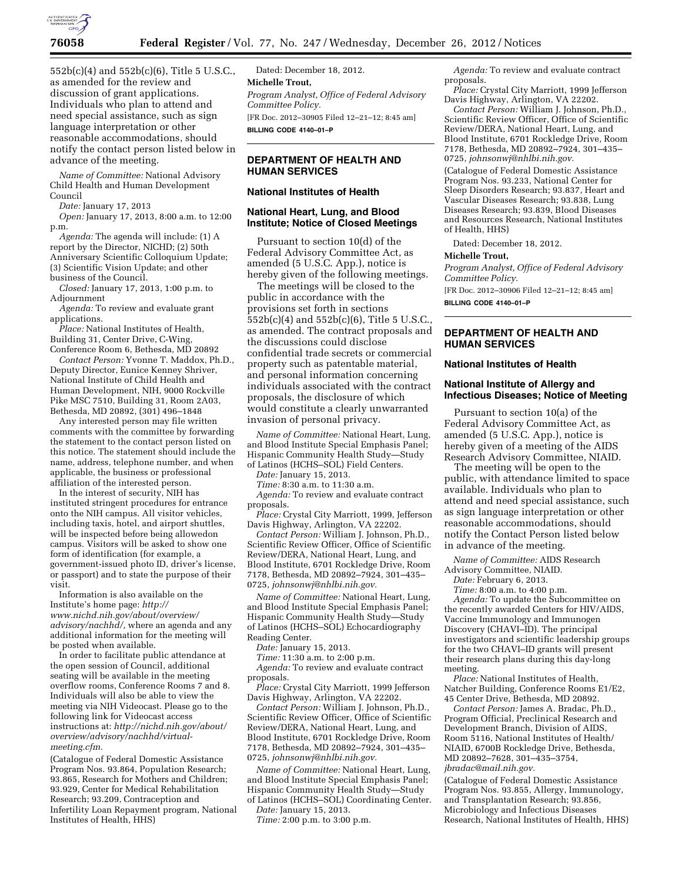

552b(c)(4) and 552b(c)(6), Title 5 U.S.C., as amended for the review and discussion of grant applications. Individuals who plan to attend and need special assistance, such as sign language interpretation or other reasonable accommodations, should notify the contact person listed below in advance of the meeting.

*Name of Committee:* National Advisory Child Health and Human Development Council

*Date:* January 17, 2013

*Open:* January 17, 2013, 8:00 a.m. to 12:00 p.m.

*Agenda:* The agenda will include: (1) A report by the Director, NICHD; (2) 50th Anniversary Scientific Colloquium Update; (3) Scientific Vision Update; and other business of the Council.

*Closed:* January 17, 2013, 1:00 p.m. to Adjournment

*Agenda:* To review and evaluate grant applications.

*Place:* National Institutes of Health, Building 31, Center Drive, C-Wing, Conference Room 6, Bethesda, MD 20892

*Contact Person:* Yvonne T. Maddox, Ph.D., Deputy Director, Eunice Kenney Shriver, National Institute of Child Health and Human Development, NIH, 9000 Rockville Pike MSC 7510, Building 31, Room 2A03, Bethesda, MD 20892, (301) 496–1848

Any interested person may file written comments with the committee by forwarding the statement to the contact person listed on this notice. The statement should include the name, address, telephone number, and when applicable, the business or professional affiliation of the interested person.

In the interest of security, NIH has instituted stringent procedures for entrance onto the NIH campus. All visitor vehicles, including taxis, hotel, and airport shuttles, will be inspected before being allowedon campus. Visitors will be asked to show one form of identification (for example, a government-issued photo ID, driver's license, or passport) and to state the purpose of their visit.

Information is also available on the Institute's home page: *[http://](http://www.nichd.nih.gov/about/overview/advisory/nachhd/) [www.nichd.nih.gov/about/overview/](http://www.nichd.nih.gov/about/overview/advisory/nachhd/)  [advisory/nachhd/,](http://www.nichd.nih.gov/about/overview/advisory/nachhd/)* where an agenda and any additional information for the meeting will be posted when available.

In order to facilitate public attendance at the open session of Council, additional seating will be available in the meeting overflow rooms, Conference Rooms 7 and 8. Individuals will also be able to view the meeting via NIH Videocast. Please go to the following link for Videocast access instructions at: *[http://nichd.nih.gov/about/](http://nichd.nih.gov/about/overview/advisory/nachhd/virtual-meeting.cfm) [overview/advisory/nachhd/virtual](http://nichd.nih.gov/about/overview/advisory/nachhd/virtual-meeting.cfm)[meeting.cfm.](http://nichd.nih.gov/about/overview/advisory/nachhd/virtual-meeting.cfm)* 

(Catalogue of Federal Domestic Assistance Program Nos. 93.864, Population Research; 93.865, Research for Mothers and Children; 93.929, Center for Medical Rehabilitation Research; 93.209, Contraception and Infertility Loan Repayment program, National Institutes of Health, HHS)

Dated: December 18, 2012. **Michelle Trout,**  *Program Analyst, Office of Federal Advisory Committee Policy.*  [FR Doc. 2012–30905 Filed 12–21–12; 8:45 am] **BILLING CODE 4140–01–P** 

# **DEPARTMENT OF HEALTH AND HUMAN SERVICES**

#### **National Institutes of Health**

### **National Heart, Lung, and Blood Institute; Notice of Closed Meetings**

Pursuant to section 10(d) of the Federal Advisory Committee Act, as amended (5 U.S.C. App.), notice is hereby given of the following meetings.

The meetings will be closed to the public in accordance with the provisions set forth in sections 552b(c)(4) and 552b(c)(6), Title 5 U.S.C., as amended. The contract proposals and the discussions could disclose confidential trade secrets or commercial property such as patentable material, and personal information concerning individuals associated with the contract proposals, the disclosure of which would constitute a clearly unwarranted invasion of personal privacy.

*Name of Committee:* National Heart, Lung, and Blood Institute Special Emphasis Panel; Hispanic Community Health Study—Study of Latinos (HCHS–SOL) Field Centers.

*Date:* January 15, 2013.

*Time:* 8:30 a.m. to 11:30 a.m.

*Agenda:* To review and evaluate contract proposals.

*Place:* Crystal City Marriott, 1999, Jefferson Davis Highway, Arlington, VA 22202.

*Contact Person:* William J. Johnson, Ph.D., Scientific Review Officer, Office of Scientific Review/DERA, National Heart, Lung, and Blood Institute, 6701 Rockledge Drive, Room 7178, Bethesda, MD 20892–7924, 301–435– 0725, *[johnsonwj@nhlbi.nih.gov.](mailto:johnsonwj@nhlbi.nih.gov)* 

*Name of Committee:* National Heart, Lung, and Blood Institute Special Emphasis Panel; Hispanic Community Health Study—Study of Latinos (HCHS–SOL) Echocardiography Reading Center.

*Date:* January 15, 2013.

*Time:* 11:30 a.m. to 2:00 p.m. *Agenda:* To review and evaluate contract proposals.

*Place:* Crystal City Marriott, 1999 Jefferson Davis Highway, Arlington, VA 22202.

*Contact Person:* William J. Johnson, Ph.D., Scientific Review Officer, Office of Scientific Review/DERA, National Heart, Lung, and Blood Institute, 6701 Rockledge Drive, Room 7178, Bethesda, MD 20892–7924, 301–435– 0725, *[johnsonwj@nhlbi.nih.gov.](mailto:johnsonwj@nhlbi.nih.gov)* 

*Name of Committee:* National Heart, Lung, and Blood Institute Special Emphasis Panel; Hispanic Community Health Study—Study of Latinos (HCHS–SOL) Coordinating Center.

*Date:* January 15, 2013. *Time:* 2:00 p.m. to 3:00 p.m.

*Agenda:* To review and evaluate contract proposals.

*Place:* Crystal City Marriott, 1999 Jefferson Davis Highway, Arlington, VA 22202.

*Contact Person:* William J. Johnson, Ph.D., Scientific Review Officer, Office of Scientific Review/DERA, National Heart, Lung, and Blood Institute, 6701 Rockledge Drive, Room 7178, Bethesda, MD 20892–7924, 301–435– 0725, *[johnsonwj@nhlbi.nih.gov.](mailto:johnsonwj@nhlbi.nih.gov)* 

(Catalogue of Federal Domestic Assistance Program Nos. 93.233, National Center for Sleep Disorders Research; 93.837, Heart and Vascular Diseases Research; 93.838, Lung Diseases Research; 93.839, Blood Diseases and Resources Research, National Institutes of Health, HHS)

Dated: December 18, 2012.

#### **Michelle Trout,**

*Program Analyst, Office of Federal Advisory Committee Policy.* 

[FR Doc. 2012–30906 Filed 12–21–12; 8:45 am] **BILLING CODE 4140–01–P** 

# **DEPARTMENT OF HEALTH AND HUMAN SERVICES**

#### **National Institutes of Health**

### **National Institute of Allergy and Infectious Diseases; Notice of Meeting**

Pursuant to section 10(a) of the Federal Advisory Committee Act, as amended (5 U.S.C. App.), notice is hereby given of a meeting of the AIDS Research Advisory Committee, NIAID.

The meeting will be open to the public, with attendance limited to space available. Individuals who plan to attend and need special assistance, such as sign language interpretation or other reasonable accommodations, should notify the Contact Person listed below in advance of the meeting.

*Name of Committee:* AIDS Research Advisory Committee, NIAID.

*Date:* February 6, 2013.

*Time:* 8:00 a.m. to 4:00 p.m.

*Agenda:* To update the Subcommittee on the recently awarded Centers for HIV/AIDS, Vaccine Immunology and Immunogen Discovery (CHAVI–ID). The principal investigators and scientific leadership groups for the two CHAVI–ID grants will present their research plans during this day-long meeting.

*Place:* National Institutes of Health, Natcher Building, Conference Rooms E1/E2, 45 Center Drive, Bethesda, MD 20892.

*Contact Person:* James A. Bradac, Ph.D., Program Official, Preclinical Research and Development Branch, Division of AIDS, Room 5116, National Institutes of Health/ NIAID, 6700B Rockledge Drive, Bethesda, MD 20892–7628, 301–435–3754, *[jbradac@mail.nih.gov.](mailto:jbradac@mail.nih.gov)* 

(Catalogue of Federal Domestic Assistance Program Nos. 93.855, Allergy, Immunology, and Transplantation Research; 93.856, Microbiology and Infectious Diseases Research, National Institutes of Health, HHS)